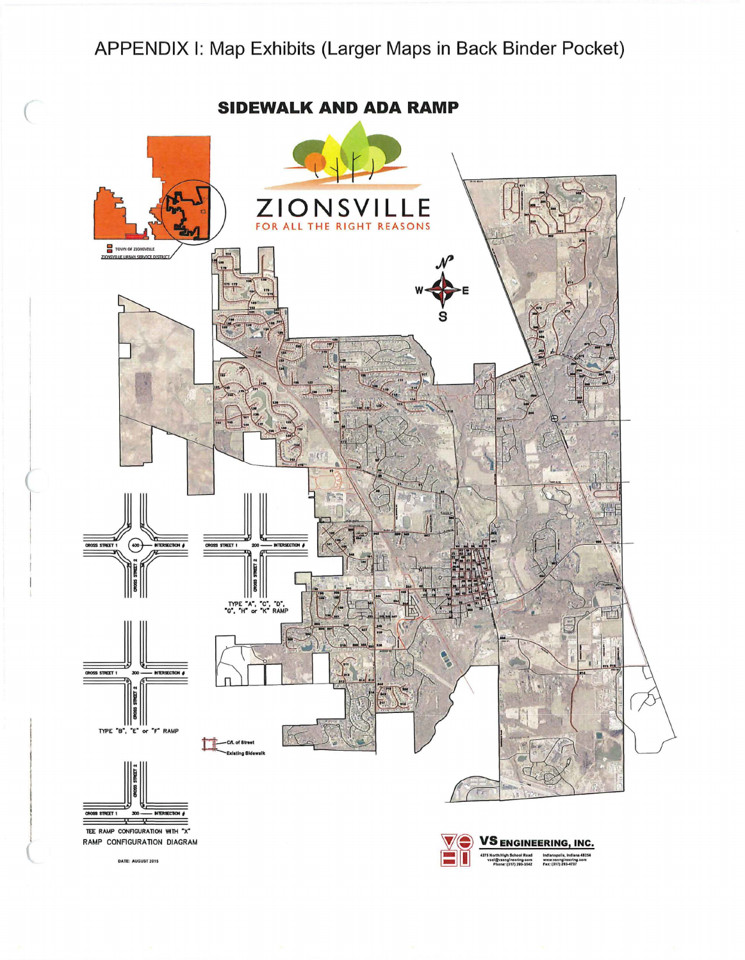## APPENDIX I: Map Exhibits (Larger Maps in Back Binder Pocket)

**SIDEWALK AND ADA RAMP** ZIONSV E FOR ALL THE RIGHT REASONS TOWN OF ZIONSVILLE  $\circledast$ **STREET 1** STREET 1 **CTION &** TYPE "A", "C", "D",<br>"G", "H" or "K" RAMP **NTRSECTO** S STREET 1 Ш TYPE "B", "F" RAMP CAL of Street ation Olde CROSS STREET 1  $300$ NTERSECTION & — y

TEE RAMP CONFIGURATION WITH "X" RAMP CONFIGURATION DIAGRAM

DATE: AUGUST 2015

**ENGINEERING, INC.** Indianapolis, Indiana<br>www.vsengineering.o<br>Fax: (317) 293-4737

46254<br>om